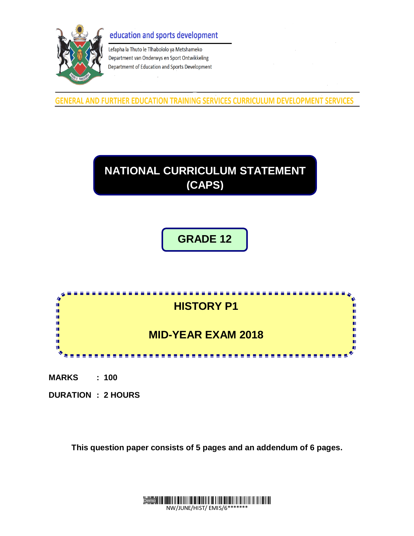## education and sports development



Lefapha la Thuto le Tlhabololo ya Metshameko Department van Onderwys en Sport Ontwikkeling Departmemt of Education and Sports Development

**GENERAL AND FURTHER EDUCATION TRAINING SERVICES CURRICULUM DEVELOPMENT SERVICES** 

# **NATIONAL CURRICULUM STATEMENT (CAPS)**

# **GRADE 12**



**MARKS : 100**

**DURATION : 2 HOURS**

**This question paper consists of 5 pages and an addendum of 6 pages.**

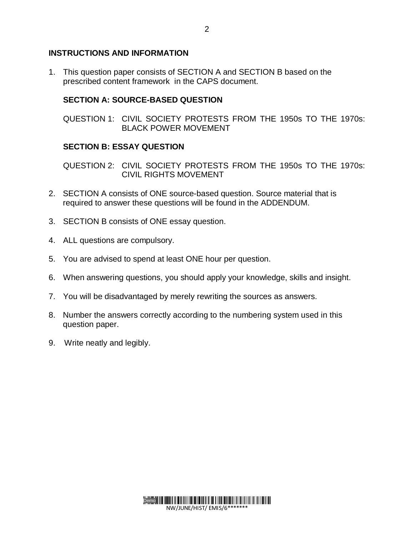### **INSTRUCTIONS AND INFORMATION**

1. This question paper consists of SECTION A and SECTION B based on the prescribed content framework in the CAPS document.

### **SECTION A: SOURCE-BASED QUESTION**

QUESTION 1: CIVIL SOCIETY PROTESTS FROM THE 1950s TO THE 1970s: BLACK POWER MOVEMENT

### **SECTION B: ESSAY QUESTION**

QUESTION 2: CIVIL SOCIETY PROTESTS FROM THE 1950s TO THE 1970s: CIVIL RIGHTS MOVEMENT

- 2. SECTION A consists of ONE source-based question. Source material that is required to answer these questions will be found in the ADDENDUM.
- 3. SECTION B consists of ONE essay question.
- 4. ALL questions are compulsory.
- 5. You are advised to spend at least ONE hour per question.
- 6. When answering questions, you should apply your knowledge, skills and insight.
- 7. You will be disadvantaged by merely rewriting the sources as answers.
- 8. Number the answers correctly according to the numbering system used in this question paper.
- 9. Write neatly and legibly.

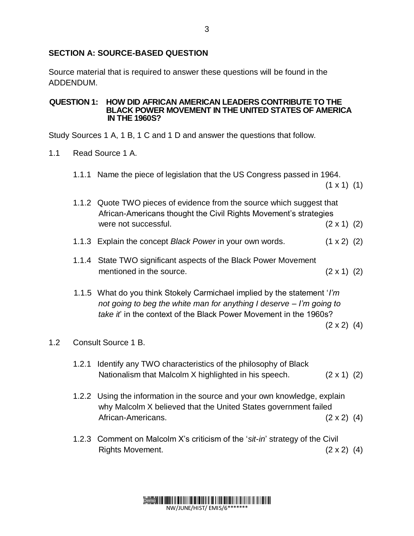### **SECTION A: SOURCE-BASED QUESTION**

Source material that is required to answer these questions will be found in the ADDENDUM.

**QUESTION 1: HOW DID AFRICAN AMERICAN LEADERS CONTRIBUTE TO THE BLACK POWER MOVEMENT IN THE UNITED STATES OF AMERICA IN THE 1960S?**

Study Sources 1 A, 1 B, 1 C and 1 D and answer the questions that follow.

#### 1.1 Read Source 1 A.

1.1.1 Name the piece of legislation that the US Congress passed in 1964.

 $(1 \times 1)$   $(1)$ 

| 1.1.2 Quote TWO pieces of evidence from the source which suggest that |                    |  |
|-----------------------------------------------------------------------|--------------------|--|
| African-Americans thought the Civil Rights Movement's strategies      |                    |  |
| were not successful.                                                  | $(2 \times 1)$ (2) |  |

- 1.1.3 Explain the concept *Black Power* in your own words. (1 x 2) (2)
- 1.1.4 State TWO significant aspects of the Black Power Movement mentioned in the source.  $(2 \times 1)$  (2)
- 1.1.5 What do you think Stokely Carmichael implied by the statement '*I'm not going to beg the white man for anything I deserve – I'm going to take it*' in the context of the Black Power Movement in the 1960s?
	- $(2 \times 2)$   $(4)$

#### 1.2 Consult Source 1 B.

- 1.2.1 Identify any TWO characteristics of the philosophy of Black Nationalism that Malcolm X highlighted in his speech.  $(2 \times 1)$  (2)
- 1.2.2 Using the information in the source and your own knowledge, explain why Malcolm X believed that the United States government failed African-Americans. (2 x 2) (4)
- 1.2.3 Comment on Malcolm X's criticism of the '*sit-in*' strategy of the Civil Rights Movement.  $(2 \times 2)$  (4)

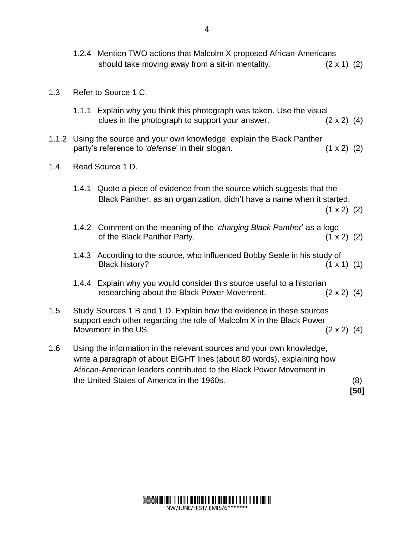1.2.4 Mention TWO actions that Malcolm X proposed African-Americans should take moving away from a sit-in mentality.  $(2 \times 1)$  (2) 1.3 Refer to Source 1 C. 1.1.1 Explain why you think this photograph was taken. Use the visual clues in the photograph to support your answer.  $(2 \times 2)$  (4) 1.1.2 Using the source and your own knowledge, explain the Black Panther party's reference to '*defense*' in their slogan. (1 x 2) (2) 1.4 Read Source 1 D. 1.4.1 Quote a piece of evidence from the source which suggests that the Black Panther, as an organization, didn't have a name when it started.  $(1 \times 2)$   $(2)$ 1.4.2 Comment on the meaning of the '*charging Black Panther*' as a logo of the Black Panther Party.  $(1 \times 2)$  (2) 1.4.3 According to the source, who influenced Bobby Seale in his study of Black history? (1 x 1) (1) 1.4.4 Explain why you would consider this source useful to a historian researching about the Black Power Movement. (2 x 2) (4) 1.5 Study Sources 1 B and 1 D. Explain how the evidence in these sources support each other regarding the role of Malcolm X in the Black Power Movement in the US.  $(2 \times 2)$  (4) 1.6 Using the information in the relevant sources and your own knowledge, write a paragraph of about EIGHT lines (about 80 words), explaining how African-American leaders contributed to the Black Power Movement in the United States of America in the 1960s. (8)